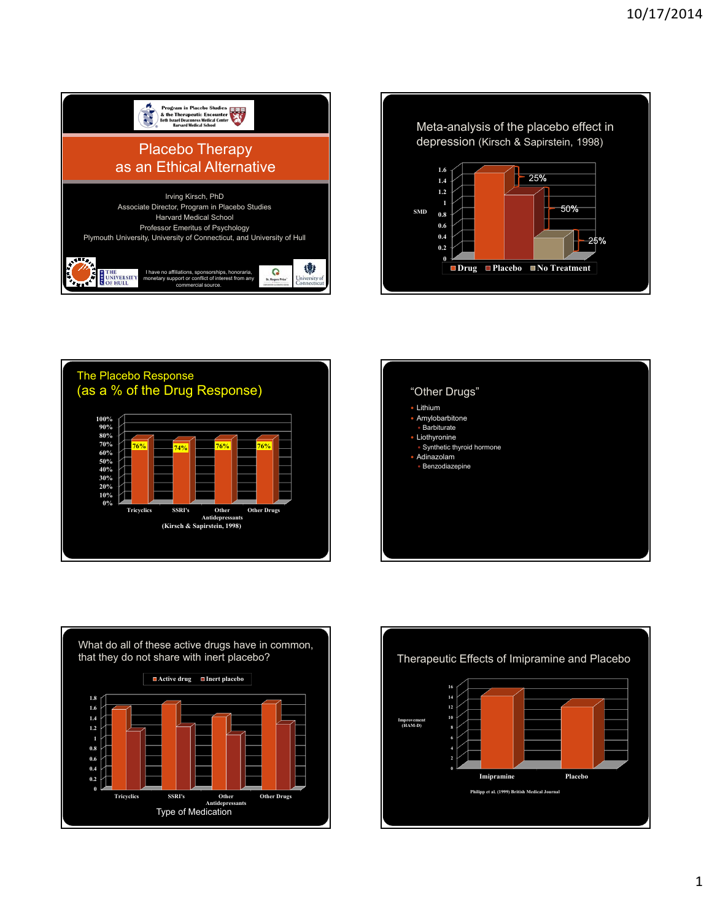









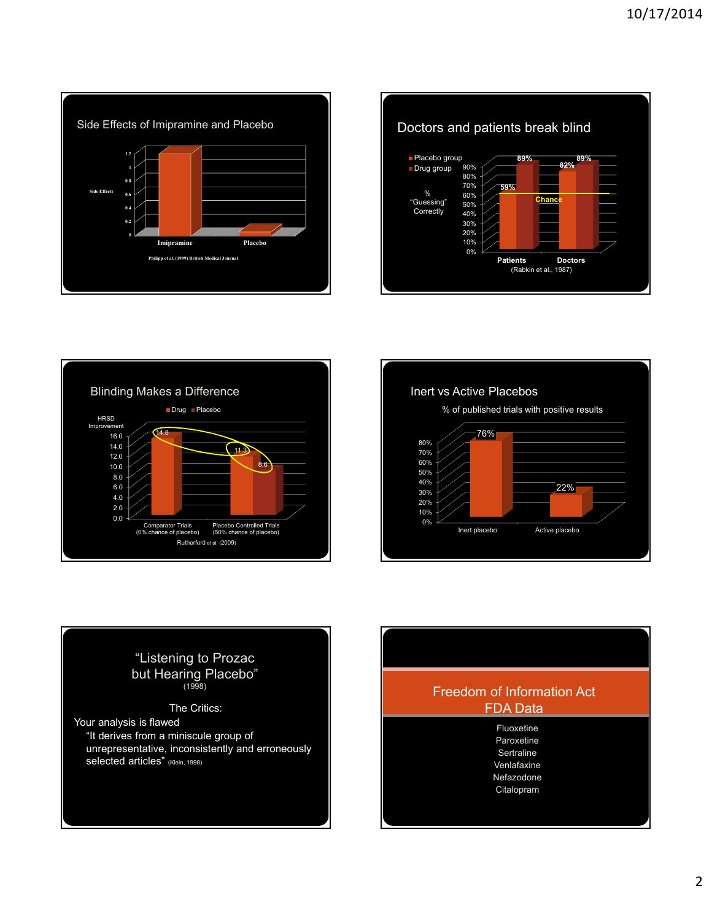







# "Listening to Prozac but Hearing Placebo" (1998) The Critics:

Your analysis is flawed "It derives from a miniscule group of unrepresentative, inconsistently and erroneously selected articles" (Klein, 1998)

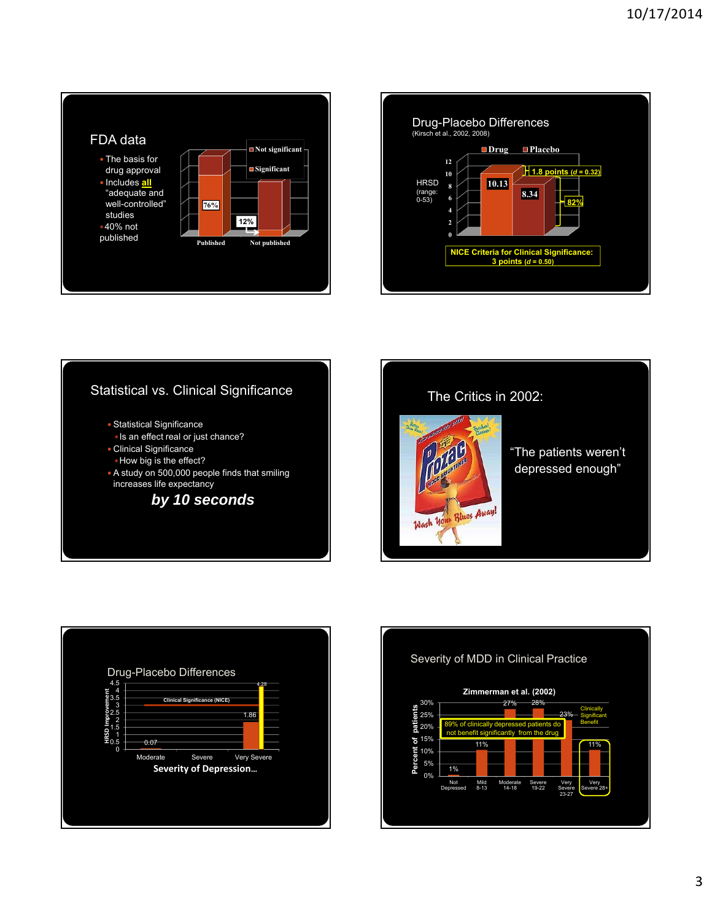





The Critics in 2002: "The patients weren't depressed enough"



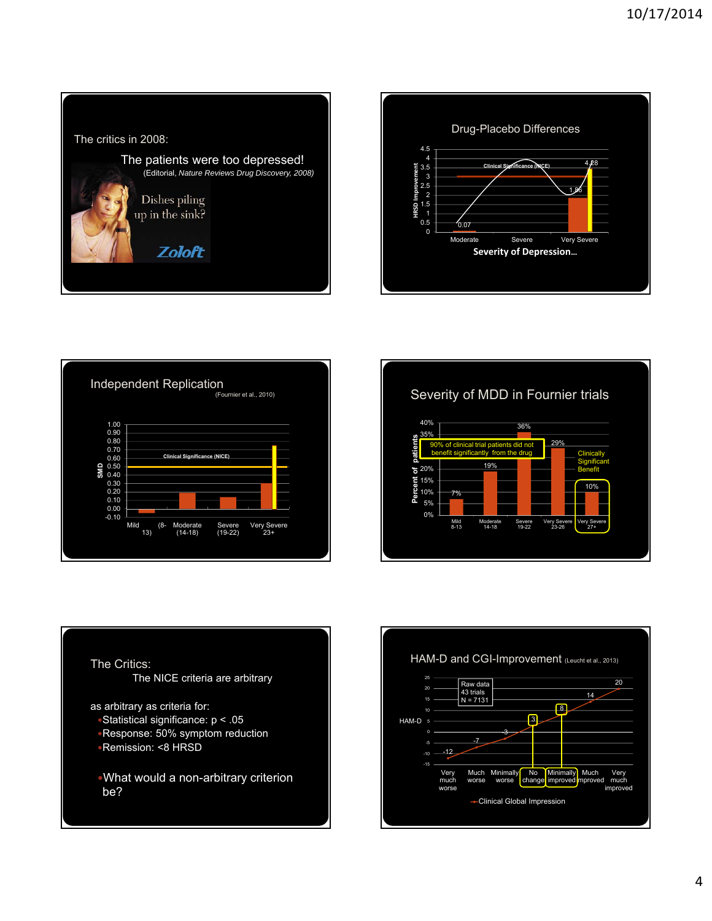









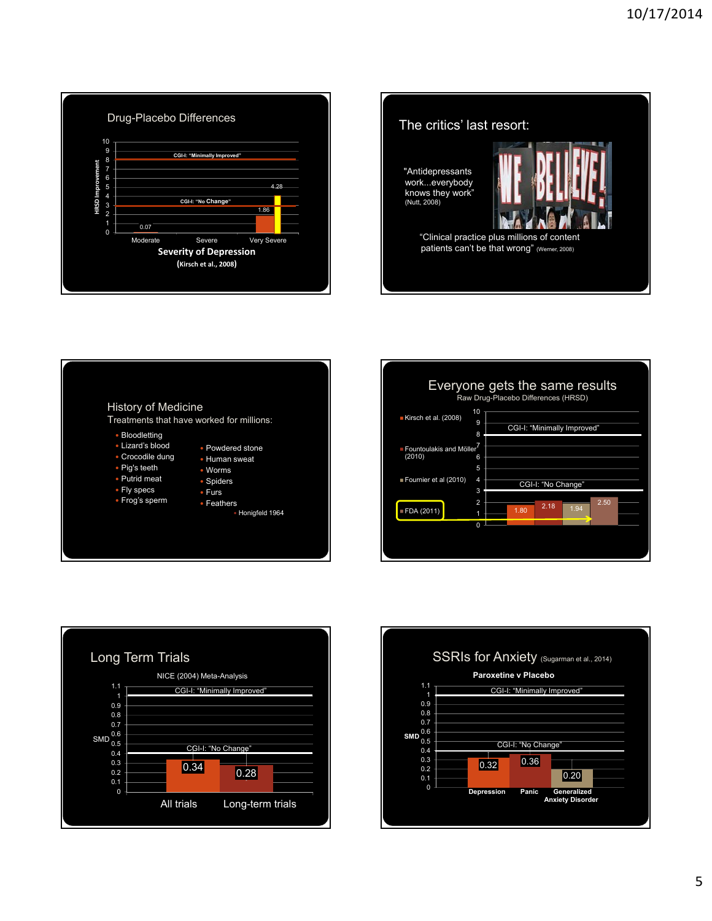





| Everyone gets the same results<br>Raw Drug-Placebo Differences (HRSD) |                                                            |
|-----------------------------------------------------------------------|------------------------------------------------------------|
| Kirsch et al. (2008)                                                  | 10<br>9<br>CGI-I: "Minimally Improved"<br>8                |
| ■ Fountoulakis and Möller <sup>1</sup><br>(2010)                      | 6<br>5                                                     |
| Fournier et al (2010)                                                 | 4<br>CGI-I: "No Change"<br>3                               |
| FDA (2011)                                                            | $\overline{2}$<br>2.50<br>2.18<br>1.94<br>1.80<br>$\Omega$ |
|                                                                       |                                                            |



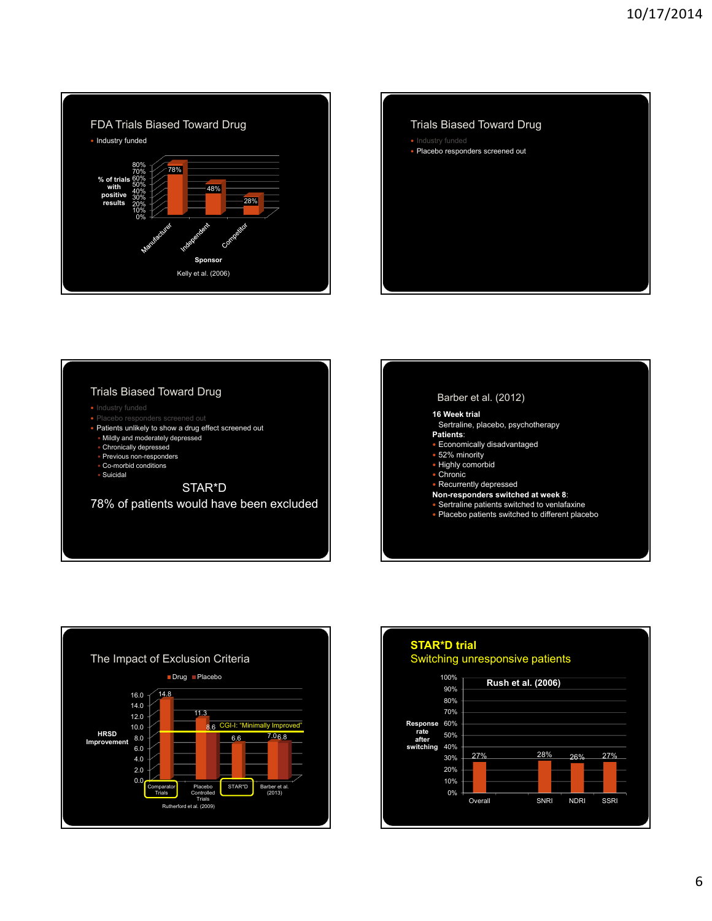









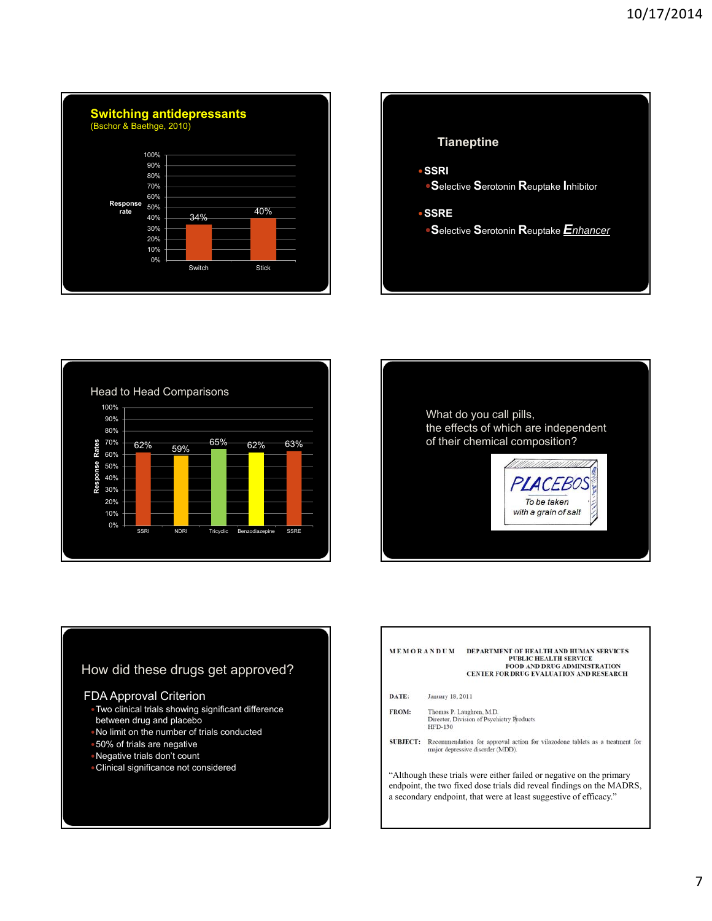







## How did these drugs get approved?

#### FDA Approval Criterion

- Two clinical trials showing significant difference between drug and placebo
- No limit on the number of trials conducted
- 50% of trials are negative
- Negative trials don't count
- 

### MEMORANDUM DEPARTMENT OF HEALTH AND HUMAN SERVICES<br>PUBLIC HEALTH SERVICE FOOD AND DRUG ADMINISTRATION<br>FOOD AND DRUG ADMINISTRATION<br>CENTER FOR DRUG EVALUATION AND RESEARCH DATE: January 18, 2011 Thomas P. Laughren, M.D.<br>Director, Division of Psychiatry Products FROM: HFD-130  ${\bf SUBJECT:}$  Recommendation for approval action for vilazodone tablets as a treatment for major depressive disorder (MDD). • Clinical significance not considered "Although these trials were either failed or negative on the primary endpoint, the two fixed dose trials did reveal findings on the MADRS, a secondary endpoint, that were at least suggestive of efficacy."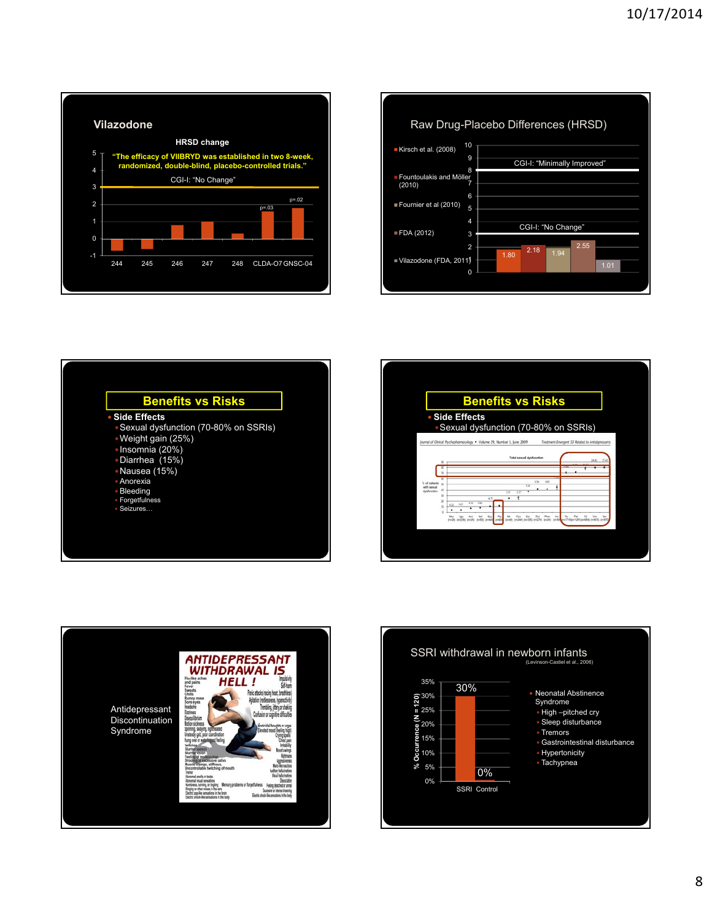









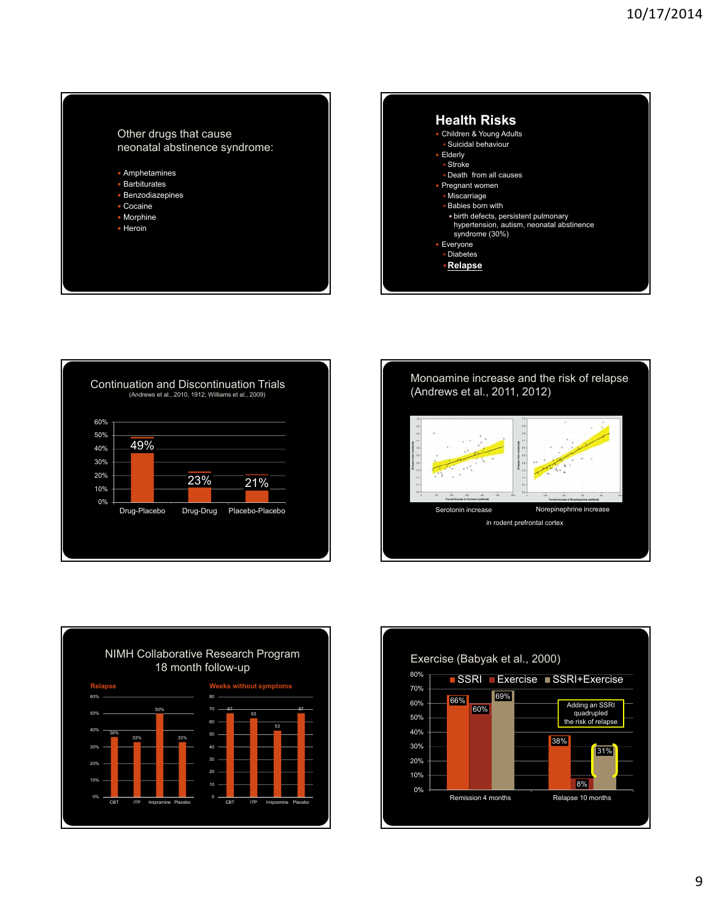

Amphetamines

- Barbiturates
- Benzodiazepines
- Cocaine Morphine
- Heroin